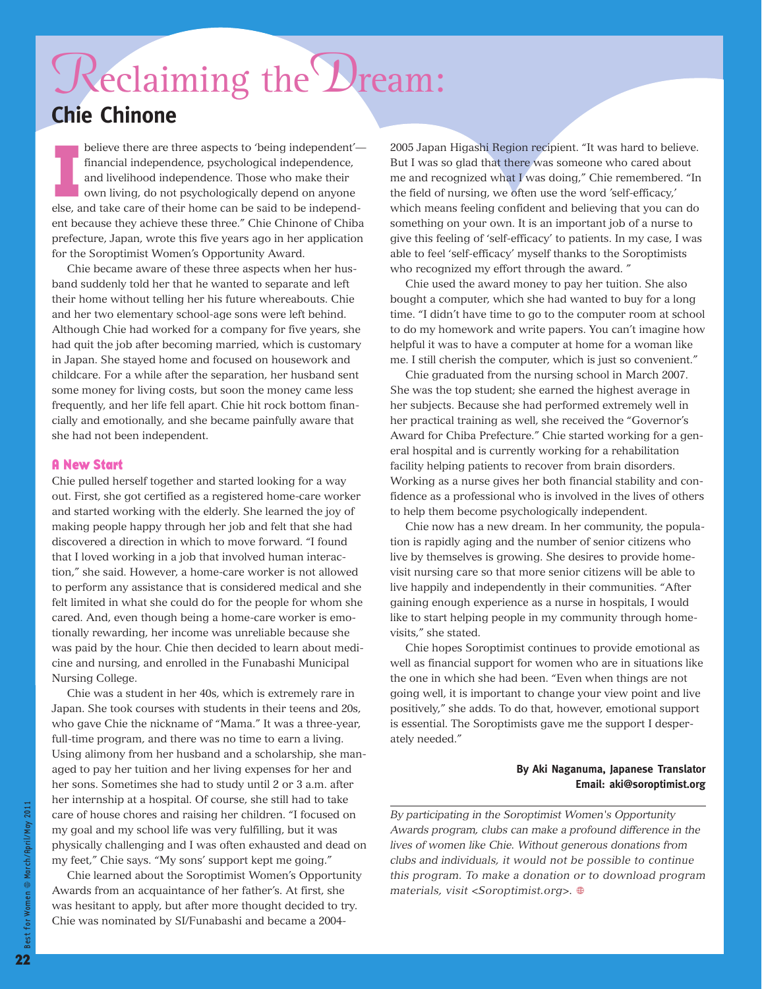## Reclaiming the Dream: **Chie Chinone**

**I** believe there are three aspects to 'being independent' financial independence, psychological independence, and livelihood independence. Those who make their own living, do not psychologically depend on anyone else, and take care of their home can be said to be independent because they achieve these three." Chie Chinone of Chiba prefecture, Japan, wrote this five years ago in her application for the Soroptimist Women's Opportunity Award.

Chie became aware of these three aspects when her husband suddenly told her that he wanted to separate and left their home without telling her his future whereabouts. Chie and her two elementary school-age sons were left behind. Although Chie had worked for a company for five years, she had quit the job after becoming married, which is customary in Japan. She stayed home and focused on housework and childcare. For a while after the separation, her husband sent some money for living costs, but soon the money came less frequently, and her life fell apart. Chie hit rock bottom financially and emotionally, and she became painfully aware that she had not been independent.

#### **A New Start**

Chie pulled herself together and started looking for a way out. First, she got certified as a registered home-care worker and started working with the elderly. She learned the joy of making people happy through her job and felt that she had discovered a direction in which to move forward. "I found that I loved working in a job that involved human interaction," she said. However, a home-care worker is not allowed to perform any assistance that is considered medical and she felt limited in what she could do for the people for whom she cared. And, even though being a home-care worker is emotionally rewarding, her income was unreliable because she was paid by the hour. Chie then decided to learn about medicine and nursing, and enrolled in the Funabashi Municipal Nursing College.

Chie was a student in her 40s, which is extremely rare in Japan. She took courses with students in their teens and 20s, who gave Chie the nickname of "Mama." It was a three-year, full-time program, and there was no time to earn a living. Using alimony from her husband and a scholarship, she managed to pay her tuition and her living expenses for her and her sons. Sometimes she had to study until 2 or 3 a.m. after her internship at a hospital. Of course, she still had to take care of house chores and raising her children. "I focused on my goal and my school life was very fulfilling, but it was physically challenging and I was often exhausted and dead on my feet," Chie says. "My sons' support kept me going."

Chie learned about the Soroptimist Women's Opportunity Awards from an acquaintance of her father's. At first, she was hesitant to apply, but after more thought decided to try. Chie was nominated by SI/Funabashi and became a 20042005 Japan Higashi Region recipient. "It was hard to believe. But I was so glad that there was someone who cared about me and recognized what I was doing," Chie remembered. "In the field of nursing, we often use the word 'self-efficacy,' which means feeling confident and believing that you can do something on your own. It is an important job of a nurse to give this feeling of 'self-efficacy' to patients. In my case, I was able to feel 'self-efficacy' myself thanks to the Soroptimists who recognized my effort through the award. "

Chie used the award money to pay her tuition. She also bought a computer, which she had wanted to buy for a long time. "I didn't have time to go to the computer room at school to do my homework and write papers. You can't imagine how helpful it was to have a computer at home for a woman like me. I still cherish the computer, which is just so convenient."

Chie graduated from the nursing school in March 2007. She was the top student; she earned the highest average in her subjects. Because she had performed extremely well in her practical training as well, she received the "Governor's Award for Chiba Prefecture." Chie started working for a general hospital and is currently working for a rehabilitation facility helping patients to recover from brain disorders. Working as a nurse gives her both financial stability and confidence as a professional who is involved in the lives of others to help them become psychologically independent.

Chie now has a new dream. In her community, the population is rapidly aging and the number of senior citizens who live by themselves is growing. She desires to provide homevisit nursing care so that more senior citizens will be able to live happily and independently in their communities. "After gaining enough experience as a nurse in hospitals, I would like to start helping people in my community through homevisits," she stated.

Chie hopes Soroptimist continues to provide emotional as well as financial support for women who are in situations like the one in which she had been. "Even when things are not going well, it is important to change your view point and live positively," she adds. To do that, however, emotional support is essential. The Soroptimists gave me the support I desperately needed."

#### **By Aki Naganuma, Japanese Translator Email: aki@soroptimist.org**

*By participating in the Soroptimist Women's Opportunity Awards program, clubs can make a profound difference in the lives of women like Chie. Without generous donations from clubs and individuals, it would not be possible to continue this program. To make a donation or to download program materials, visit <Soroptimist.org>.*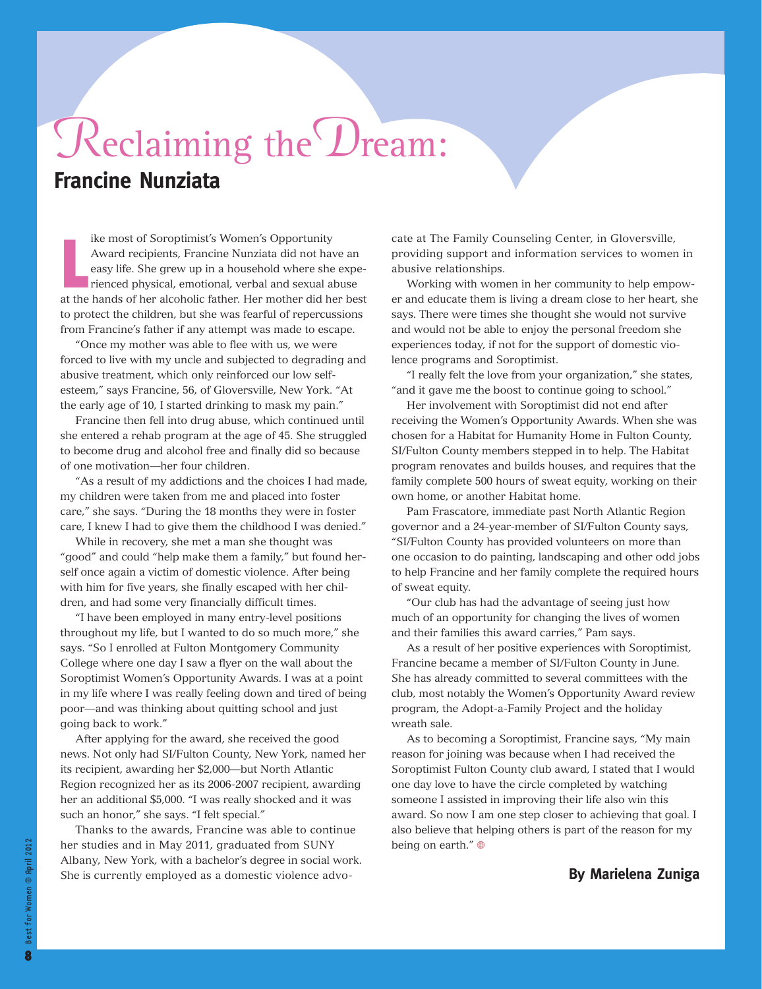## Reclaiming the Dream: **Francine Nunziata**

**L** ike most of Soroptimist's Women's Opportunity Award recipients, Francine Nunziata did not have an easy life. She grew up in a household where she experienced physical, emotional, verbal and sexual abuse at the hands of her alcoholic father. Her mother did her best to protect the children, but she was fearful of repercussions from Francine's father if any attempt was made to escape.

"Once my mother was able to flee with us, we were forced to live with my uncle and subjected to degrading and abusive treatment, which only reinforced our low selfesteem," says Francine, 56, of Gloversville, New York. "At the early age of 10, I started drinking to mask my pain."

Francine then fell into drug abuse, which continued until she entered a rehab program at the age of 45. She struggled to become drug and alcohol free and finally did so because of one motivation—her four children.

"As a result of my addictions and the choices I had made, my children were taken from me and placed into foster care," she says. "During the 18 months they were in foster care, I knew I had to give them the childhood I was denied."

While in recovery, she met a man she thought was "good" and could "help make them a family," but found herself once again a victim of domestic violence. After being with him for five years, she finally escaped with her children, and had some very financially difficult times.

"I have been employed in many entry-level positions throughout my life, but I wanted to do so much more," she says. "So I enrolled at Fulton Montgomery Community College where one day I saw a flyer on the wall about the Soroptimist Women's Opportunity Awards. I was at a point in my life where I was really feeling down and tired of being poor—and was thinking about quitting school and just going back to work."

After applying for the award, she received the good news. Not only had SI/Fulton County, New York, named her its recipient, awarding her \$2,000—but North Atlantic Region recognized her as its 2006-2007 recipient, awarding her an additional \$5,000. "I was really shocked and it was such an honor," she says. "I felt special."

Thanks to the awards, Francine was able to continue her studies and in May 2011, graduated from SUNY Albany, New York, with a bachelor's degree in social work. She is currently employed as a domestic violence advocate at The Family Counseling Center, in Gloversville, providing support and information services to women in abusive relationships.

Working with women in her community to help empower and educate them is living a dream close to her heart, she says. There were times she thought she would not survive and would not be able to enjoy the personal freedom she experiences today, if not for the support of domestic violence programs and Soroptimist.

"I really felt the love from your organization," she states, "and it gave me the boost to continue going to school."

Her involvement with Soroptimist did not end after receiving the Women's Opportunity Awards. When she was chosen for a Habitat for Humanity Home in Fulton County, SI/Fulton County members stepped in to help. The Habitat program renovates and builds houses, and requires that the family complete 500 hours of sweat equity, working on their own home, or another Habitat home.

Pam Frascatore, immediate past North Atlantic Region governor and a 24-year-member of SI/Fulton County says, "SI/Fulton County has provided volunteers on more than one occasion to do painting, landscaping and other odd jobs to help Francine and her family complete the required hours of sweat equity.

"Our club has had the advantage of seeing just how much of an opportunity for changing the lives of women and their families this award carries," Pam says.

As a result of her positive experiences with Soroptimist, Francine became a member of SI/Fulton County in June. She has already committed to several committees with the club, most notably the Women's Opportunity Award review program, the Adopt-a-Family Project and the holiday wreath sale.

As to becoming a Soroptimist, Francine says, "My main reason for joining was because when I had received the Soroptimist Fulton County club award, I stated that I would one day love to have the circle completed by watching someone I assisted in improving their life also win this award. So now I am one step closer to achieving that goal. I also believe that helping others is part of the reason for my being on earth."

### **By Marielena Zuniga**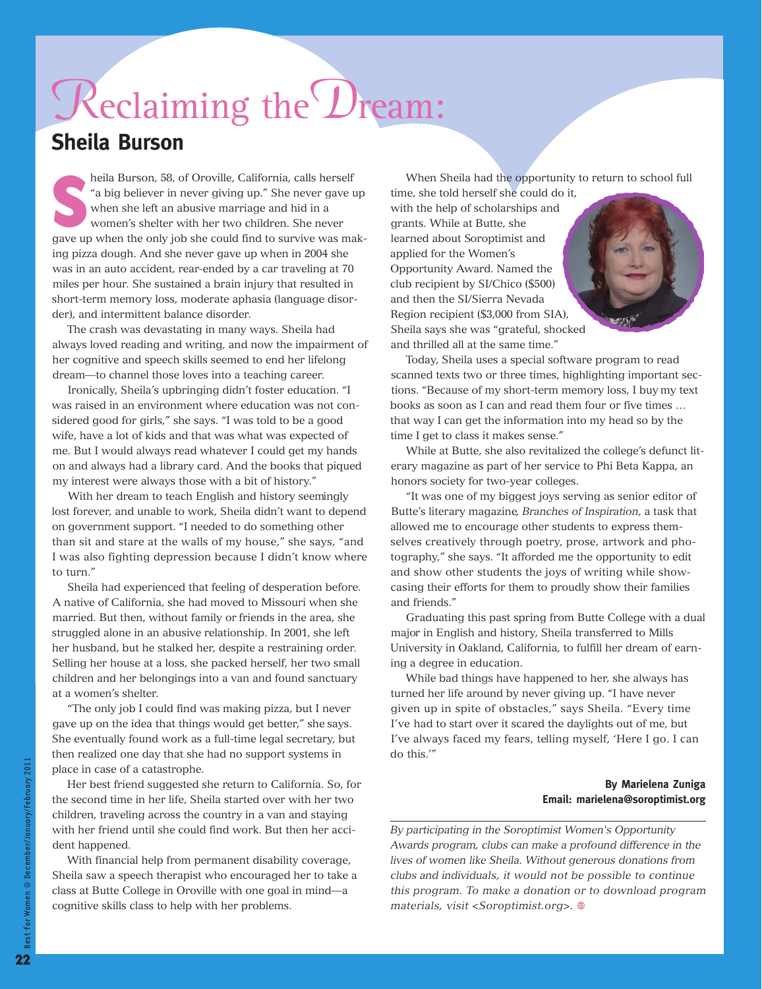# Reclaiming the Dream:

### **Sheila Burson**

heila Burson, 58, of Oroville, California, calls herself "a big believer in never giving up." She never gave up when she left an abusive marriage and hid in a women's shelter with her two children. She never gave up when t heila Burson, 58, of Oroville, California, calls herself "a big believer in never giving up." She never gave up when she left an abusive marriage and hid in a women's shelter with her two children. She never ing pizza dough. And she never gave up when in 2004 she was in an auto accident, rear-ended by a car traveling at 70 miles per hour. She sustained a brain injury that resulted in short-term memory loss, moderate aphasia (language disorder), and intermittent balance disorder.

The crash was devastating in many ways. Sheila had always loved reading and writing, and now the impairment of her cognitive and speech skills seemed to end her lifelong dream—to channel those loves into a teaching career.

Ironically, Sheila's upbringing didn't foster education. "I was raised in an environment where education was not considered good for girls," she says. "I was told to be a good wife, have a lot of kids and that was what was expected of me. But I would always read whatever I could get my hands on and always had a library card. And the books that piqued my interest were always those with a bit of history."

With her dream to teach English and history seemingly lost forever, and unable to work, Sheila didn't want to depend on government support. "I needed to do something other than sit and stare at the walls of my house," she says, "and I was also fighting depression because I didn't know where to turn."

Sheila had experienced that feeling of desperation before. A native of California, she had moved to Missouri when she married. But then, without family or friends in the area, she struggled alone in an abusive relationship. In 2001, she left her husband, but he stalked her, despite a restraining order. Selling her house at a loss, she packed herself, her two small children and her belongings into a van and found sanctuary at a women's shelter.

"The only job I could find was making pizza, but I never gave up on the idea that things would get better," she says. She eventually found work as a full-time legal secretary, but then realized one day that she had no support systems in place in case of a catastrophe.

Her best friend suggested she return to California. So, for the second time in her life, Sheila started over with her two children, traveling across the country in a van and staying with her friend until she could find work. But then her accident happened.

With financial help from permanent disability coverage, Sheila saw a speech therapist who encouraged her to take a class at Butte College in Oroville with one goal in mind—a cognitive skills class to help with her problems.

When Sheila had the opportunity to return to school full

time, she told herself she could do it, with the help of scholarships and grants. While at Butte, she learned about Soroptimist and applied for the Women's Opportunity Award. Named the club recipient by SI/Chico (\$500) and then the SI/Sierra Nevada Region recipient (\$3,000 from SIA), Sheila says she was "grateful, shocked and thrilled all at the same time."

Today, Sheila uses a special software program to read scanned texts two or three times, highlighting important sections. "Because of my short-term memory loss, I buy my text books as soon as I can and read them four or five times … that way I can get the information into my head so by the time I get to class it makes sense."

While at Butte, she also revitalized the college's defunct literary magazine as part of her service to Phi Beta Kappa, an honors society for two-year colleges.

"It was one of my biggest joys serving as senior editor of Butte's literary magazine, *Branches of Inspiration*, a task that allowed me to encourage other students to express themselves creatively through poetry, prose, artwork and photography," she says. "It afforded me the opportunity to edit and show other students the joys of writing while showcasing their efforts for them to proudly show their families and friends."

Graduating this past spring from Butte College with a dual major in English and history, Sheila transferred to Mills University in Oakland, California, to fulfill her dream of earning a degree in education.

While bad things have happened to her, she always has turned her life around by never giving up. "I have never given up in spite of obstacles," says Sheila. "Every time I've had to start over it scared the daylights out of me, but I've always faced my fears, telling myself, 'Here I go. I can do this.'"

### **By Marielena Zuniga Email: marielena@soroptimist.org**

*By participating in the Soroptimist Women's Opportunity Awards program, clubs can make a profound difference in the lives of women like Sheila. Without generous donations from clubs and individuals, it would not be possible to continue this program. To make a donation or to download program materials, visit <Soroptimist.org>.*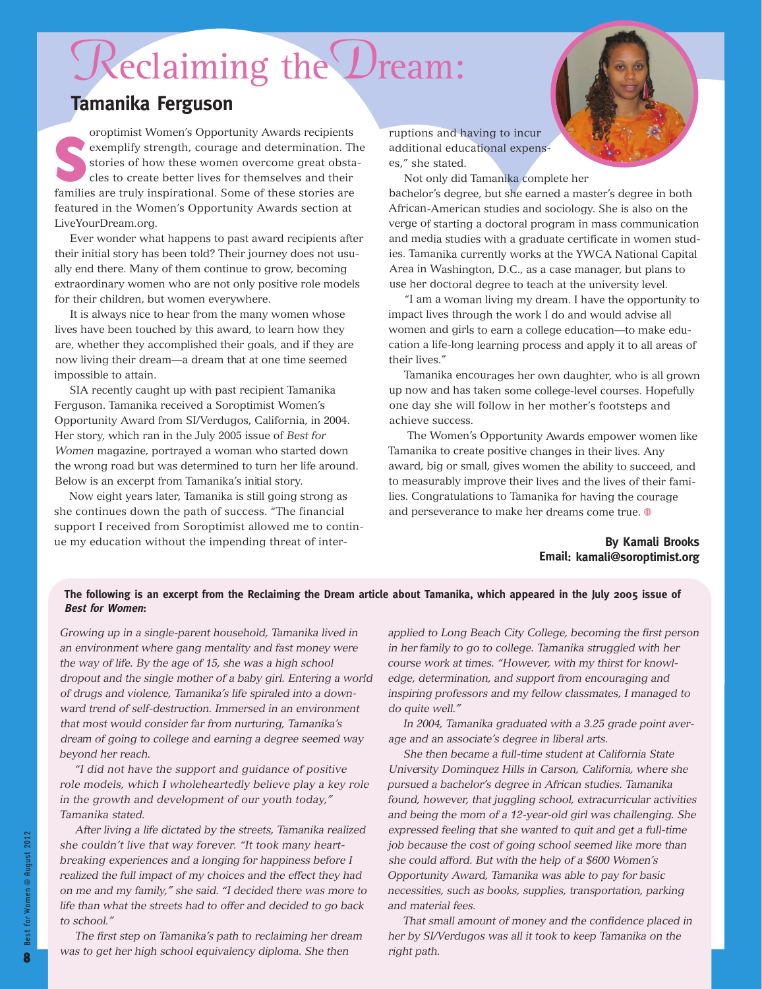## Reclaiming the Dream:

### **Tamanika Ferguson**

S oroptimist Women's Opportunity Awards recipients exemplify strength, courage and determination. The stories of how these women overcome great obstacles to create better lives for themselves and their families are truly inspirational. Some of these stories are featured in the Women's Opportunity Awards section at LiveYourDream.org.

Ever wonder what happens to past award recipients after their initial story has been told? Their journey does not usually end there. Many of them continue to grow, becoming extraordinary women who are not only positive role models for their children, but women everywhere.

It is always nice to hear from the many women whose lives have been touched by this award, to learn how they are, whether they accomplished their goals, and if they are now living their dream—a dream that at one time seemed impossible to attain.

SIA recently caught up with past recipient Tamanika Ferguson. Tamanika received <sup>a</sup> Soroptimist Women's Opportunity Award from SI/Verdugos, California, in 2004. Her story, which ran in the July 2005 issue of *Best for Women* magazine, portrayed <sup>a</sup> woman who started down the wrong road but was determined to turn her life around. Below is an excerpt from Tamanika's initial story.

Now eight years later, Tamanika is still going strong as she continues down the path of success. "The financial support I received from Soroptimist allowed me to continue my education without the impending threat of interruptions and having to incur additional educational expenses," she stated.

Not only did Tamanika complete her

bachelor's degree, but she earned <sup>a</sup> master's degree in both African-American studies and sociology. She is also on the verge of starting <sup>a</sup> doctoral program in mass communication and media studies with <sup>a</sup> graduate certificate in women studies. Tamanika currently works at the YWCA National Capital Area in Washington, D.C., as <sup>a</sup> case manager, but plans to use her doctoral degree to teach at the university level.

"I am <sup>a</sup> woman living my dream. I have the opportunity to impact lives through the work I do and would advise all women and girls to earn <sup>a</sup> college education—to make education <sup>a</sup> life-long learning process and apply it to all areas of their lives."

Tamanika encourages her own daughter, who is all grown up now and has taken some college-level courses. Hopefully one day she will follow in her mother's footsteps and achieve success.

The Women's Opportunity Awards empower women like Tamanika to create positive changes in their lives. Any award, big or small, gives women the ability to succeed, and to measurably improve their lives and the lives of their families. Congratulations to Tamanika for having the courage and perseverance to make her dreams come true.  $\oplus$ 

### **By Kamali Brooks Email: kamali@soroptimist.org**

### The following is an excerpt from the Reclaiming the Dream article about Tamanika, which appeared in the July 2005 issue of **Best for Women:**

*Growing up in a single-parent household, Tamanika lived in an environment where gang mentality and fast money were the way of life. By the age of 15, she was a high school dropout and the single mother of a baby girl. Entering a world of drugs and violence, Tamanika's life spiraled into a downward trend of self-destruction. Immersed in an environment that most would consider far from nurturing, Tamanika's dream of going to college and earning a degree seemed way beyond her reach.*

*"I did not have the support and guidance of positive role models, which I wholeheartedly believe play a key role in the growth and development of our youth today," Tamanika stated.*

*After living a life dictated by the streets, Tamanika realized she couldn't live that way forever. "It took many heartbreaking experiences and a longing for happiness before I realized the full impact of my choices and the effect they had on me and my family," she said. "I decided there was more to life than what the streets had to offer and decided to go back to school."*

*The first step on Tamanika's path to reclaiming her dream was to get her high school equivalency diploma. She then*

*applied to Long Beach City College, becoming the first person in her family to go to college. Tamanika struggled with her course work at times. "However, with my thirst for knowledge, determination, and support from encouraging and inspiring professors and my fellow classmates, I managed to do quite well."*

*In 2004, Tamanika graduated with a 3.25 grade point average and an associate's degree in liberal arts.*

*She then became a full-time student at California State University Dominquez Hills in Carson, California, where she pursued a bachelor's degree in African studies. Tamanika found, however, that juggling school, extracurricular activities and being the mom of a 12-year-old girl was challenging. She expressed feeling that she wanted to quit and get a full-time job because the cost of going school seemed like more than she could afford. But with the help of a \$600 Women's Opportunity Award, Tamanika was able to pay for basic necessities, such as books, supplies, transportation, parking and material fees.*

*That small amount of money and the confidence placed in her by SI/Verdugos was all it took to keep Tamanika on the right path.*